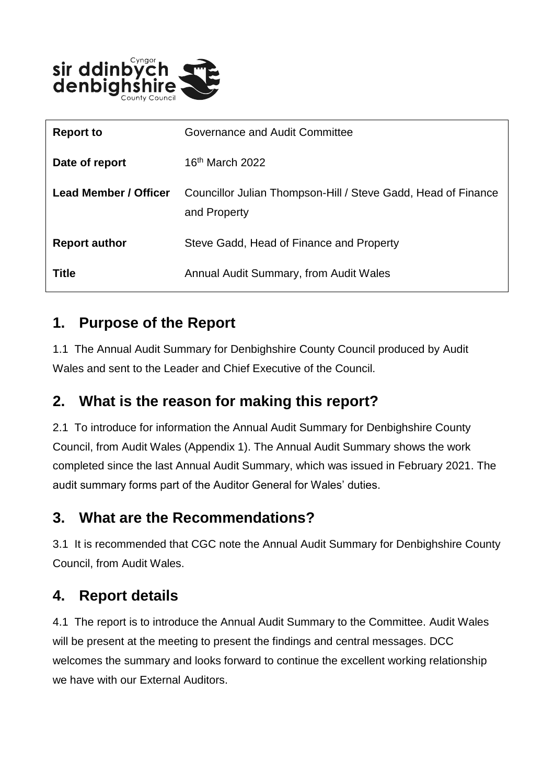

| <b>Report to</b>             | Governance and Audit Committee                                                |
|------------------------------|-------------------------------------------------------------------------------|
| Date of report               | 16 <sup>th</sup> March 2022                                                   |
| <b>Lead Member / Officer</b> | Councillor Julian Thompson-Hill / Steve Gadd, Head of Finance<br>and Property |
| <b>Report author</b>         | Steve Gadd, Head of Finance and Property                                      |
| Title                        | Annual Audit Summary, from Audit Wales                                        |

#### **1. Purpose of the Report**

1.1 The Annual Audit Summary for Denbighshire County Council produced by Audit Wales and sent to the Leader and Chief Executive of the Council.

#### **2. What is the reason for making this report?**

2.1 To introduce for information the Annual Audit Summary for Denbighshire County Council, from Audit Wales (Appendix 1). The Annual Audit Summary shows the work completed since the last Annual Audit Summary, which was issued in February 2021. The audit summary forms part of the Auditor General for Wales' duties.

#### **3. What are the Recommendations?**

3.1 It is recommended that CGC note the Annual Audit Summary for Denbighshire County Council, from Audit Wales.

# **4. Report details**

4.1 The report is to introduce the Annual Audit Summary to the Committee. Audit Wales will be present at the meeting to present the findings and central messages. DCC welcomes the summary and looks forward to continue the excellent working relationship we have with our External Auditors.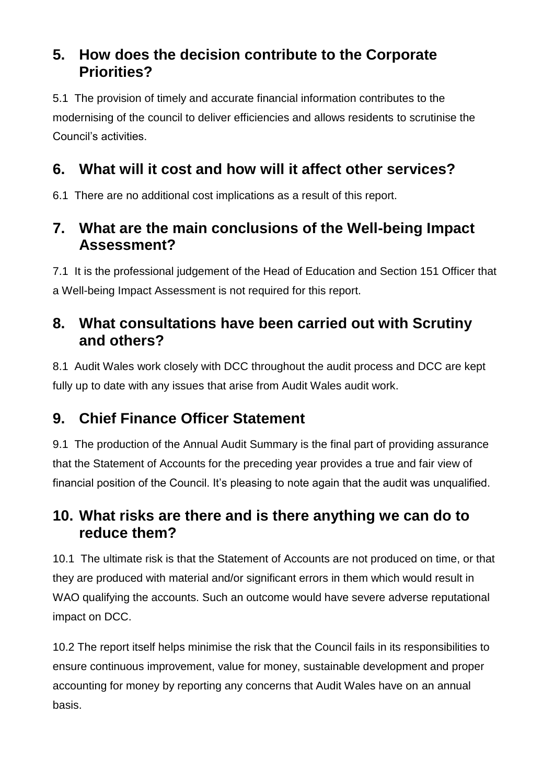#### **5. How does the decision contribute to the Corporate Priorities?**

5.1 The provision of timely and accurate financial information contributes to the modernising of the council to deliver efficiencies and allows residents to scrutinise the Council's activities.

# **6. What will it cost and how will it affect other services?**

6.1 There are no additional cost implications as a result of this report.

# **7. What are the main conclusions of the Well-being Impact Assessment?**

7.1 It is the professional judgement of the Head of Education and Section 151 Officer that a Well-being Impact Assessment is not required for this report.

### **8. What consultations have been carried out with Scrutiny and others?**

8.1 Audit Wales work closely with DCC throughout the audit process and DCC are kept fully up to date with any issues that arise from Audit Wales audit work.

# **9. Chief Finance Officer Statement**

9.1 The production of the Annual Audit Summary is the final part of providing assurance that the Statement of Accounts for the preceding year provides a true and fair view of financial position of the Council. It's pleasing to note again that the audit was unqualified.

#### **10. What risks are there and is there anything we can do to reduce them?**

10.1 The ultimate risk is that the Statement of Accounts are not produced on time, or that they are produced with material and/or significant errors in them which would result in WAO qualifying the accounts. Such an outcome would have severe adverse reputational impact on DCC.

10.2 The report itself helps minimise the risk that the Council fails in its responsibilities to ensure continuous improvement, value for money, sustainable development and proper accounting for money by reporting any concerns that Audit Wales have on an annual basis.